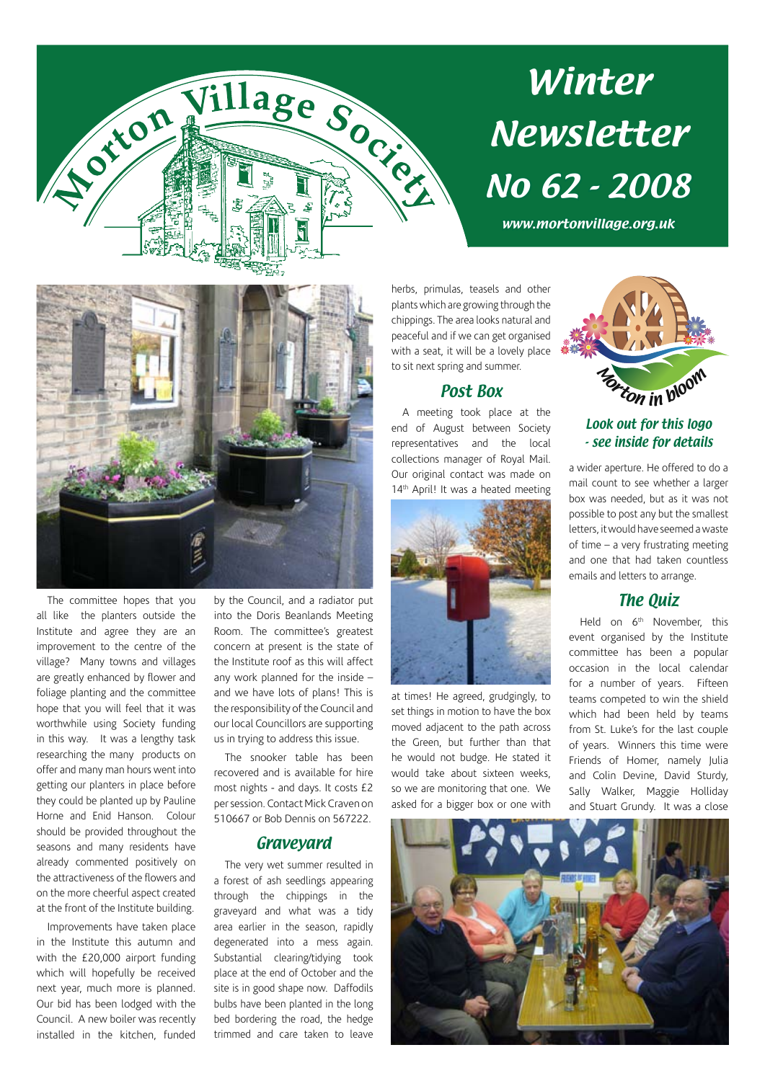

# Winter Newsletter No 62 - 2008

www.mortonvillage.org.uk



The committee hopes that you all like the planters outside the Institute and agree they are an improvement to the centre of the village? Many towns and villages are greatly enhanced by flower and foliage planting and the committee hope that you will feel that it was worthwhile using Society funding in this way. It was a lengthy task researching the many products on offer and many man hours went into getting our planters in place before they could be planted up by Pauline Horne and Enid Hanson. Colour should be provided throughout the seasons and many residents have already commented positively on the attractiveness of the flowers and on the more cheerful aspect created at the front of the Institute building.

Improvements have taken place in the Institute this autumn and with the £20,000 airport funding which will hopefully be received next year, much more is planned. Our bid has been lodged with the Council. A new boiler was recently installed in the kitchen, funded by the Council, and a radiator put into the Doris Beanlands Meeting Room. The committee's greatest concern at present is the state of the Institute roof as this will affect any work planned for the inside – and we have lots of plans! This is the responsibility of the Council and our local Councillors are supporting us in trying to address this issue.

The snooker table has been recovered and is available for hire most nights - and days. It costs £2 per session. Contact Mick Craven on 510667 or Bob Dennis on 567222.

### Graveyard

The very wet summer resulted in a forest of ash seedlings appearing through the chippings in the graveyard and what was a tidy area earlier in the season, rapidly degenerated into a mess again. Substantial clearing/tidying took place at the end of October and the site is in good shape now. Daffodils bulbs have been planted in the long bed bordering the road, the hedge trimmed and care taken to leave herbs, primulas, teasels and other plants which are growing through the chippings. The area looks natural and peaceful and if we can get organised with a seat, it will be a lovely place to sit next spring and summer.

## Post Box

A meeting took place at the end of August between Society representatives and the local collections manager of Royal Mail. Our original contact was made on 14<sup>th</sup> April! It was a heated meeting



at times! He agreed, grudgingly, to set things in motion to have the box moved adjacent to the path across the Green, but further than that he would not budge. He stated it would take about sixteen weeks, so we are monitoring that one. We asked for a bigger box or one with



## Look out for this logo - see inside for details

a wider aperture. He offered to do a mail count to see whether a larger box was needed, but as it was not possible to post any but the smallest letters, it would have seemed a waste of time – a very frustrating meeting and one that had taken countless emails and letters to arrange.

## The Quiz

Held on 6<sup>th</sup> November, this event organised by the Institute committee has been a popular occasion in the local calendar for a number of years. Fifteen teams competed to win the shield which had been held by teams from St. Luke's for the last couple of years. Winners this time were Friends of Homer, namely Julia and Colin Devine, David Sturdy, Sally Walker, Maggie Holliday and Stuart Grundy. It was a close

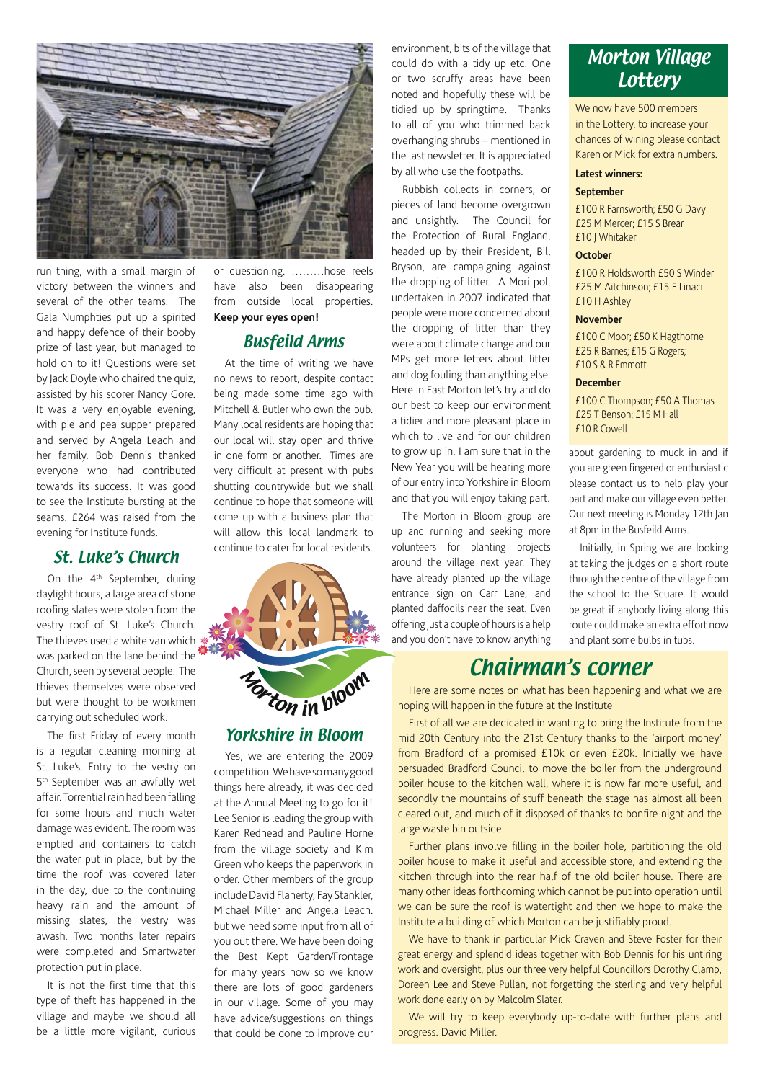

run thing, with a small margin of victory between the winners and several of the other teams. The Gala Numphties put up a spirited and happy defence of their booby prize of last year, but managed to hold on to it! Questions were set by Jack Doyle who chaired the quiz, assisted by his scorer Nancy Gore. It was a very enjoyable evening, with pie and pea supper prepared and served by Angela Leach and her family. Bob Dennis thanked everyone who had contributed towards its success. It was good to see the Institute bursting at the seams. £264 was raised from the evening for Institute funds.

## St. Luke's Church

On the 4<sup>th</sup> September, during daylight hours, a large area of stone roofing slates were stolen from the vestry roof of St. Luke's Church. The thieves used a white van which  $*$ was parked on the lane behind the Church, seen by several people. The thieves themselves were observed but were thought to be workmen carrying out scheduled work.

The first Friday of every month is a regular cleaning morning at St. Luke's. Entry to the vestry on 5th September was an awfully wet affair. Torrential rain had been falling for some hours and much water damage was evident. The room was emptied and containers to catch the water put in place, but by the time the roof was covered later in the day, due to the continuing heavy rain and the amount of missing slates, the vestry was awash. Two months later repairs were completed and Smartwater protection put in place.

It is not the first time that this type of theft has happened in the village and maybe we should all be a little more vigilant, curious or questioning. ………hose reels have also been disappearing from outside local properties. **Keep your eyes open!**

## Busfeild Arms

At the time of writing we have no news to report, despite contact being made some time ago with Mitchell & Butler who own the pub. Many local residents are hoping that our local will stay open and thrive in one form or another. Times are very difficult at present with pubs shutting countrywide but we shall continue to hope that someone will come up with a business plan that will allow this local landmark to continue to cater for local residents.



## Yorkshire in Bloom

Yes, we are entering the 2009 competition. We have so many good things here already, it was decided at the Annual Meeting to go for it! Lee Senior is leading the group with Karen Redhead and Pauline Horne from the village society and Kim Green who keeps the paperwork in order. Other members of the group include David Flaherty, Fay Stankler, Michael Miller and Angela Leach. but we need some input from all of you out there. We have been doing the Best Kept Garden/Frontage for many years now so we know there are lots of good gardeners in our village. Some of you may have advice/suggestions on things that could be done to improve our

environment, bits of the village that could do with a tidy up etc. One or two scruffy areas have been noted and hopefully these will be tidied up by springtime. Thanks to all of you who trimmed back overhanging shrubs – mentioned in the last newsletter. It is appreciated by all who use the footpaths.

Rubbish collects in corners, or pieces of land become overgrown and unsightly. The Council for the Protection of Rural England, headed up by their President, Bill Bryson, are campaigning against the dropping of litter. A Mori poll undertaken in 2007 indicated that people were more concerned about the dropping of litter than they were about climate change and our MPs get more letters about litter and dog fouling than anything else. Here in East Morton let's try and do our best to keep our environment a tidier and more pleasant place in which to live and for our children to grow up in. I am sure that in the New Year you will be hearing more of our entry into Yorkshire in Bloom and that you will enjoy taking part.

The Morton in Bloom group are up and running and seeking more volunteers for planting projects around the village next year. They have already planted up the village entrance sign on Carr Lane, and planted daffodils near the seat. Even offering just a couple of hours is a help and you don't have to know anything

## Morton Village **Lottery**

We now have 500 members in the Lottery, to increase your chances of wining please contact Karen or Mick for extra numbers.

### **Latest winners:**

#### **September**

£100 R Farnsworth; £50 G Davy £25 M Mercer; £15 S Brear £10 J Whitaker

#### **October**

£100 R Holdsworth £50 S Winder £25 M Aitchinson; £15 E Linacr £10 H Ashley

### **November**

£100 C Moor; £50 K Hagthorne £25 R Barnes; £15 G Rogers; £10 S & R Emmott

### **December**

£100 C Thompson; £50 A Thomas £25 T Benson; £15 M Hall £10 R Cowell

about gardening to muck in and if you are green fingered or enthusiastic please contact us to help play your part and make our village even better. Our next meeting is Monday 12th Jan at 8pm in the Busfeild Arms.

Initially, in Spring we are looking at taking the judges on a short route through the centre of the village from the school to the Square. It would be great if anybody living along this route could make an extra effort now and plant some bulbs in tubs.

## Chairman's corner

Here are some notes on what has been happening and what we are hoping will happen in the future at the Institute

First of all we are dedicated in wanting to bring the Institute from the mid 20th Century into the 21st Century thanks to the 'airport money' from Bradford of a promised £10k or even £20k. Initially we have persuaded Bradford Council to move the boiler from the underground boiler house to the kitchen wall, where it is now far more useful, and secondly the mountains of stuff beneath the stage has almost all been cleared out, and much of it disposed of thanks to bonfire night and the large waste bin outside.

Further plans involve filling in the boiler hole, partitioning the old boiler house to make it useful and accessible store, and extending the kitchen through into the rear half of the old boiler house. There are many other ideas forthcoming which cannot be put into operation until we can be sure the roof is watertight and then we hope to make the Institute a building of which Morton can be justifiably proud.

We have to thank in particular Mick Craven and Steve Foster for their great energy and splendid ideas together with Bob Dennis for his untiring work and oversight, plus our three very helpful Councillors Dorothy Clamp, Doreen Lee and Steve Pullan, not forgetting the sterling and very helpful work done early on by Malcolm Slater.

We will try to keep everybody up-to-date with further plans and progress. David Miller.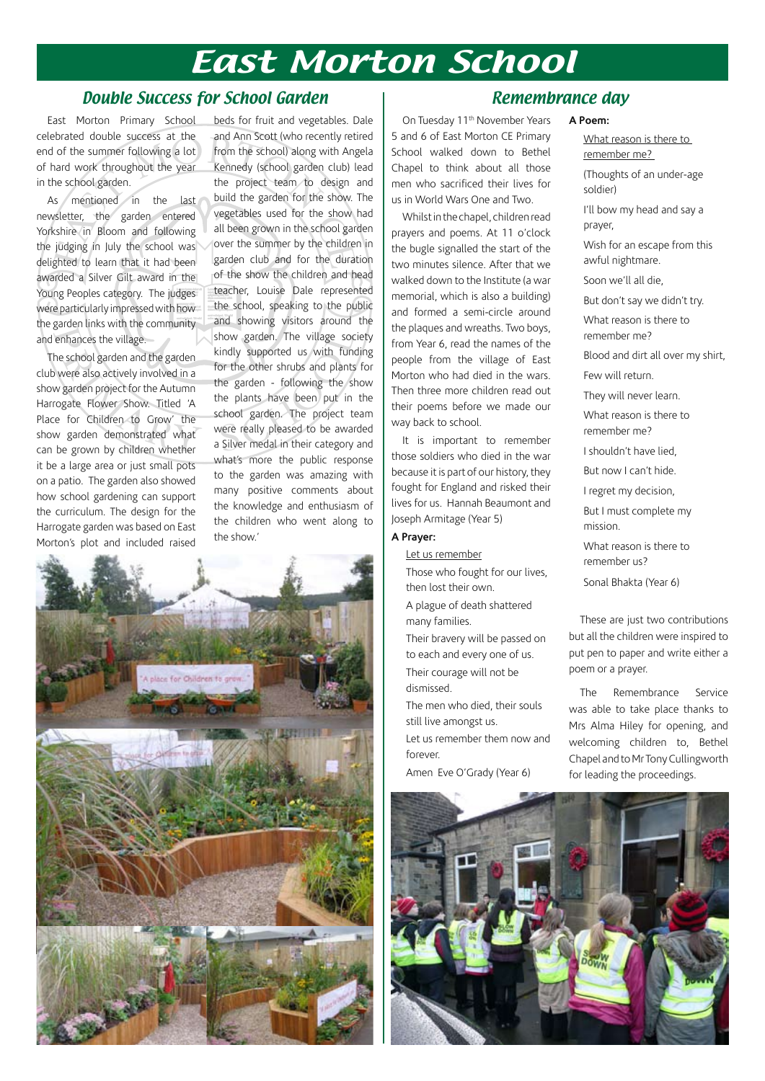## East Morton School

## Double Success for School Garden

East Morton Primary School celebrated double success at the end of the summer following a lot of hard work throughout the year in the school garden.

As mentioned in the last newsletter, the garden entered Yorkshire in Bloom and following the judging in July the school was delighted to learn that it had been awarded a Silver Gilt award in the Young Peoples category. The judges were particularly impressed with how the garden links with the community and enhances the village.

The school garden and the garden club were also actively involved in a show garden project for the Autumn Harrogate Flower Show. Titled 'A Place for Children to Grow' the show garden demonstrated what can be grown by children whether it be a large area or just small pots on a patio. The garden also showed how school gardening can support the curriculum. The design for the Harrogate garden was based on East Morton's plot and included raised

beds for fruit and vegetables. Dale and Ann Scott (who recently retired from the school) along with Angela Kennedy (school garden club) lead the project team to design and build the garden for the show. The vegetables used for the show had all been grown in the school garden over the summer by the children in garden club and for the duration of the show the children and head teacher, Louise Dale represented the school, speaking to the public and showing visitors around the show garden. The village society kindly supported us with funding for the other shrubs and plants for the garden - following the show the plants have been put in the school garden. The project team were really pleased to be awarded a Silver medal in their category and what's more the public response to the garden was amazing with many positive comments about the knowledge and enthusiasm of the children who went along to the show.'



## On Tuesday 11th November Years 5 and 6 of East Morton CE Primary School walked down to Bethel Chapel to think about all those men who sacrificed their lives for us in World Wars One and Two.

Whilst in the chapel, children read prayers and poems. At 11 o'clock the bugle signalled the start of the two minutes silence. After that we walked down to the Institute (a war memorial, which is also a building) and formed a semi-circle around the plaques and wreaths. Two boys, from Year 6, read the names of the people from the village of East Morton who had died in the wars. Then three more children read out their poems before we made our way back to school.

It is important to remember those soldiers who died in the war because it is part of our history, they fought for England and risked their lives for us. Hannah Beaumont and Joseph Armitage (Year 5)

## **A Prayer:**

#### Let us remember

- Those who fought for our lives, then lost their own.
- A plague of death shattered many families.
- Their bravery will be passed on to each and every one of us. Their courage will not be dismissed.
- The men who died, their souls still live amongst us. Let us remember them now and forever.
- Amen Eve O'Grady (Year 6)

## Remembrance day

### **A Poem:**

What reason is there to remember me?

(Thoughts of an under-age soldier)

I'll bow my head and say a prayer,

Wish for an escape from this awful nightmare.

Soon we'll all die,

But don't say we didn't try.

What reason is there to remember me?

Blood and dirt all over my shirt, Few will return.

They will never learn.

What reason is there to remember me?

I shouldn't have lied,

But now I can't hide.

I regret my decision,

But I must complete my mission.

What reason is there to remember us?

Sonal Bhakta (Year 6)

These are just two contributions but all the children were inspired to put pen to paper and write either a poem or a prayer.

The Remembrance Service was able to take place thanks to Mrs Alma Hiley for opening, and welcoming children to, Bethel Chapel and to Mr Tony Cullingworth for leading the proceedings.